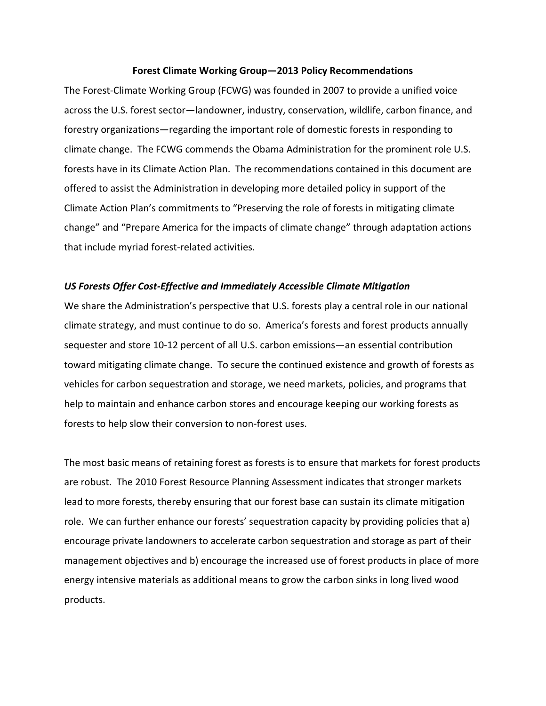#### **Forest Climate Working Group—2013 Policy Recommendations**

The Forest-Climate Working Group (FCWG) was founded in 2007 to provide a unified voice across the U.S. forest sector—landowner, industry, conservation, wildlife, carbon finance, and forestry organizations—regarding the important role of domestic forests in responding to climate change. The FCWG commends the Obama Administration for the prominent role U.S. forests have in its Climate Action Plan. The recommendations contained in this document are offered to assist the Administration in developing more detailed policy in support of the Climate Action Plan's commitments to "Preserving the role of forests in mitigating climate change" and "Prepare America for the impacts of climate change" through adaptation actions that include myriad forest-related activities.

### *US Forests Offer Cost-Effective and Immediately Accessible Climate Mitigation*

We share the Administration's perspective that U.S. forests play a central role in our national climate strategy, and must continue to do so. America's forests and forest products annually sequester and store 10-12 percent of all U.S. carbon emissions—an essential contribution toward mitigating climate change. To secure the continued existence and growth of forests as vehicles for carbon sequestration and storage, we need markets, policies, and programs that help to maintain and enhance carbon stores and encourage keeping our working forests as forests to help slow their conversion to non-forest uses.

The most basic means of retaining forest as forests is to ensure that markets for forest products are robust. The 2010 Forest Resource Planning Assessment indicates that stronger markets lead to more forests, thereby ensuring that our forest base can sustain its climate mitigation role. We can further enhance our forests' sequestration capacity by providing policies that a) encourage private landowners to accelerate carbon sequestration and storage as part of their management objectives and b) encourage the increased use of forest products in place of more energy intensive materials as additional means to grow the carbon sinks in long lived wood products.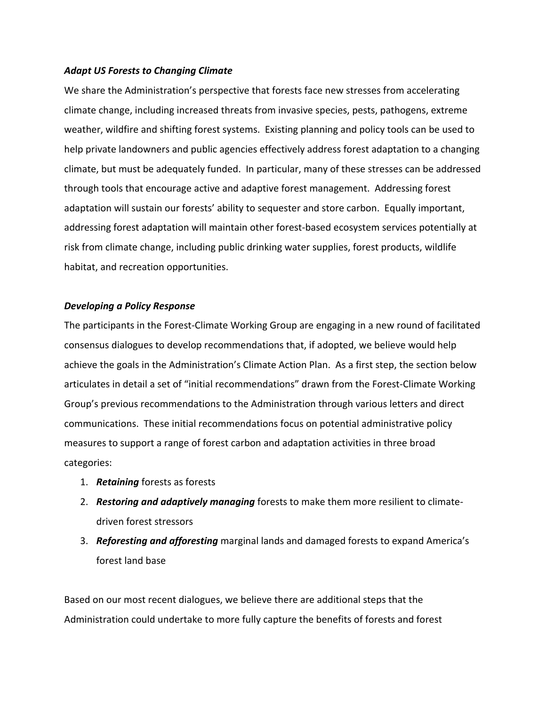## *Adapt US Forests to Changing Climate*

We share the Administration's perspective that forests face new stresses from accelerating climate change, including increased threats from invasive species, pests, pathogens, extreme weather, wildfire and shifting forest systems. Existing planning and policy tools can be used to help private landowners and public agencies effectively address forest adaptation to a changing climate, but must be adequately funded. In particular, many of these stresses can be addressed through tools that encourage active and adaptive forest management. Addressing forest adaptation will sustain our forests' ability to sequester and store carbon. Equally important, addressing forest adaptation will maintain other forest-based ecosystem services potentially at risk from climate change, including public drinking water supplies, forest products, wildlife habitat, and recreation opportunities.

## *Developing a Policy Response*

The participants in the Forest-Climate Working Group are engaging in a new round of facilitated consensus dialogues to develop recommendations that, if adopted, we believe would help achieve the goals in the Administration's Climate Action Plan. As a first step, the section below articulates in detail a set of "initial recommendations" drawn from the Forest-Climate Working Group's previous recommendations to the Administration through various letters and direct communications. These initial recommendations focus on potential administrative policy measures to support a range of forest carbon and adaptation activities in three broad categories:

- 1. *Retaining* forests as forests
- 2. *Restoring and adaptively managing* forests to make them more resilient to climatedriven forest stressors
- 3. *Reforesting and afforesting* marginal lands and damaged forests to expand America's forest land base

Based on our most recent dialogues, we believe there are additional steps that the Administration could undertake to more fully capture the benefits of forests and forest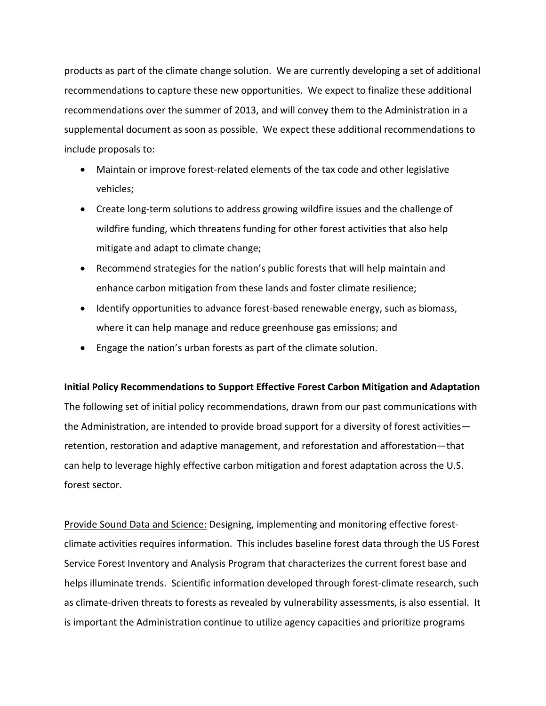products as part of the climate change solution. We are currently developing a set of additional recommendations to capture these new opportunities. We expect to finalize these additional recommendations over the summer of 2013, and will convey them to the Administration in a supplemental document as soon as possible. We expect these additional recommendations to include proposals to:

- Maintain or improve forest-related elements of the tax code and other legislative vehicles;
- Create long-term solutions to address growing wildfire issues and the challenge of wildfire funding, which threatens funding for other forest activities that also help mitigate and adapt to climate change;
- Recommend strategies for the nation's public forests that will help maintain and enhance carbon mitigation from these lands and foster climate resilience;
- Identify opportunities to advance forest-based renewable energy, such as biomass, where it can help manage and reduce greenhouse gas emissions; and
- Engage the nation's urban forests as part of the climate solution.

# **Initial Policy Recommendations to Support Effective Forest Carbon Mitigation and Adaptation**

The following set of initial policy recommendations, drawn from our past communications with the Administration, are intended to provide broad support for a diversity of forest activities retention, restoration and adaptive management, and reforestation and afforestation—that can help to leverage highly effective carbon mitigation and forest adaptation across the U.S. forest sector.

Provide Sound Data and Science: Designing, implementing and monitoring effective forestclimate activities requires information. This includes baseline forest data through the US Forest Service Forest Inventory and Analysis Program that characterizes the current forest base and helps illuminate trends. Scientific information developed through forest-climate research, such as climate-driven threats to forests as revealed by vulnerability assessments, is also essential. It is important the Administration continue to utilize agency capacities and prioritize programs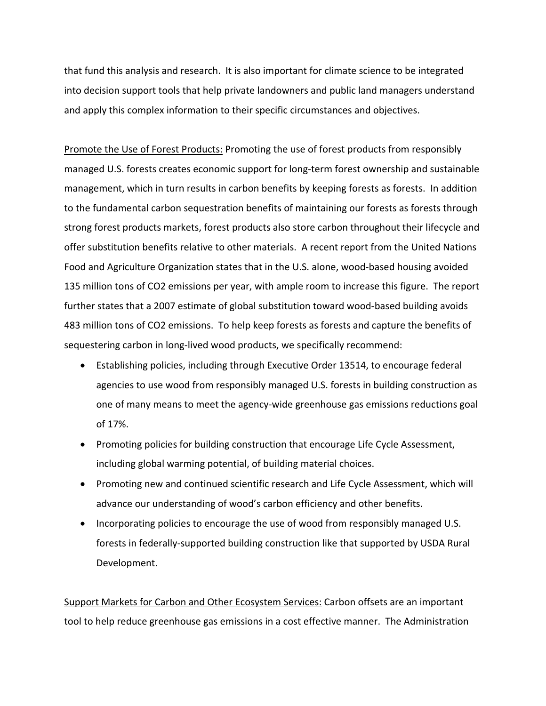that fund this analysis and research. It is also important for climate science to be integrated into decision support tools that help private landowners and public land managers understand and apply this complex information to their specific circumstances and objectives.

Promote the Use of Forest Products: Promoting the use of forest products from responsibly managed U.S. forests creates economic support for long-term forest ownership and sustainable management, which in turn results in carbon benefits by keeping forests as forests. In addition to the fundamental carbon sequestration benefits of maintaining our forests as forests through strong forest products markets, forest products also store carbon throughout their lifecycle and offer substitution benefits relative to other materials. A recent report from the United Nations Food and Agriculture Organization states that in the U.S. alone, wood-based housing avoided 135 million tons of CO2 emissions per year, with ample room to increase this figure. The report further states that a 2007 estimate of global substitution toward wood-based building avoids 483 million tons of CO2 emissions. To help keep forests as forests and capture the benefits of sequestering carbon in long-lived wood products, we specifically recommend:

- Establishing policies, including through Executive Order 13514, to encourage federal agencies to use wood from responsibly managed U.S. forests in building construction as one of many means to meet the agency-wide greenhouse gas emissions reductions goal of 17%.
- Promoting policies for building construction that encourage Life Cycle Assessment, including global warming potential, of building material choices.
- Promoting new and continued scientific research and Life Cycle Assessment, which will advance our understanding of wood's carbon efficiency and other benefits.
- Incorporating policies to encourage the use of wood from responsibly managed U.S. forests in federally-supported building construction like that supported by USDA Rural Development.

Support Markets for Carbon and Other Ecosystem Services: Carbon offsets are an important tool to help reduce greenhouse gas emissions in a cost effective manner. The Administration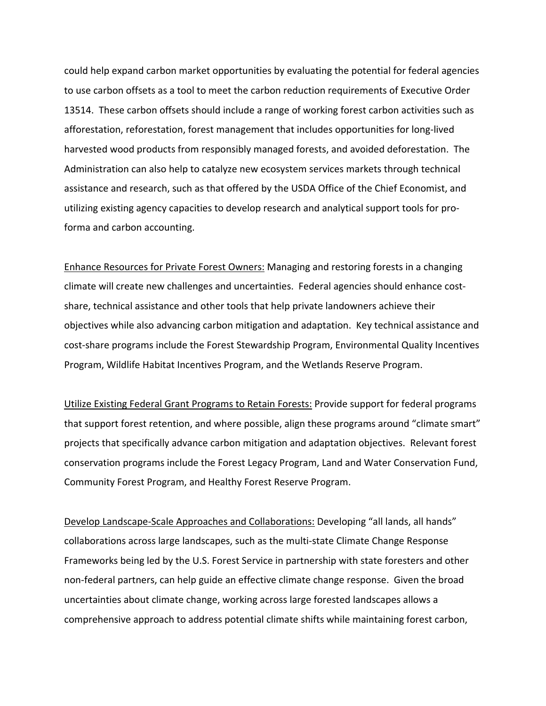could help expand carbon market opportunities by evaluating the potential for federal agencies to use carbon offsets as a tool to meet the carbon reduction requirements of Executive Order 13514. These carbon offsets should include a range of working forest carbon activities such as afforestation, reforestation, forest management that includes opportunities for long-lived harvested wood products from responsibly managed forests, and avoided deforestation. The Administration can also help to catalyze new ecosystem services markets through technical assistance and research, such as that offered by the USDA Office of the Chief Economist, and utilizing existing agency capacities to develop research and analytical support tools for proforma and carbon accounting.

Enhance Resources for Private Forest Owners: Managing and restoring forests in a changing climate will create new challenges and uncertainties. Federal agencies should enhance costshare, technical assistance and other tools that help private landowners achieve their objectives while also advancing carbon mitigation and adaptation. Key technical assistance and cost-share programs include the Forest Stewardship Program, Environmental Quality Incentives Program, Wildlife Habitat Incentives Program, and the Wetlands Reserve Program.

Utilize Existing Federal Grant Programs to Retain Forests: Provide support for federal programs that support forest retention, and where possible, align these programs around "climate smart" projects that specifically advance carbon mitigation and adaptation objectives. Relevant forest conservation programs include the Forest Legacy Program, Land and Water Conservation Fund, Community Forest Program, and Healthy Forest Reserve Program.

Develop Landscape-Scale Approaches and Collaborations: Developing "all lands, all hands" collaborations across large landscapes, such as the multi-state Climate Change Response Frameworks being led by the U.S. Forest Service in partnership with state foresters and other non-federal partners, can help guide an effective climate change response. Given the broad uncertainties about climate change, working across large forested landscapes allows a comprehensive approach to address potential climate shifts while maintaining forest carbon,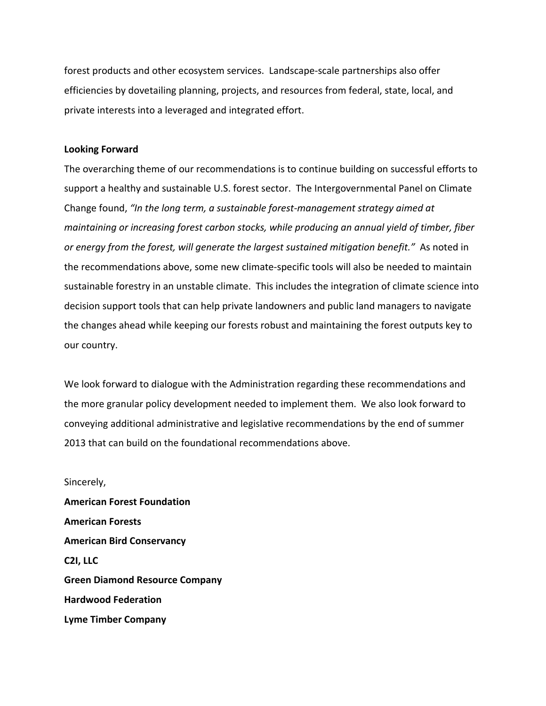forest products and other ecosystem services. Landscape-scale partnerships also offer efficiencies by dovetailing planning, projects, and resources from federal, state, local, and private interests into a leveraged and integrated effort.

#### **Looking Forward**

The overarching theme of our recommendations is to continue building on successful efforts to support a healthy and sustainable U.S. forest sector. The Intergovernmental Panel on Climate Change found, *"In the long term, a sustainable forest-management strategy aimed at maintaining or increasing forest carbon stocks, while producing an annual yield of timber, fiber or energy from the forest, will generate the largest sustained mitigation benefit."* As noted in the recommendations above, some new climate-specific tools will also be needed to maintain sustainable forestry in an unstable climate. This includes the integration of climate science into decision support tools that can help private landowners and public land managers to navigate the changes ahead while keeping our forests robust and maintaining the forest outputs key to our country.

We look forward to dialogue with the Administration regarding these recommendations and the more granular policy development needed to implement them. We also look forward to conveying additional administrative and legislative recommendations by the end of summer 2013 that can build on the foundational recommendations above.

Sincerely, **American Forest Foundation American Forests American Bird Conservancy C2I, LLC Green Diamond Resource Company Hardwood Federation Lyme Timber Company**